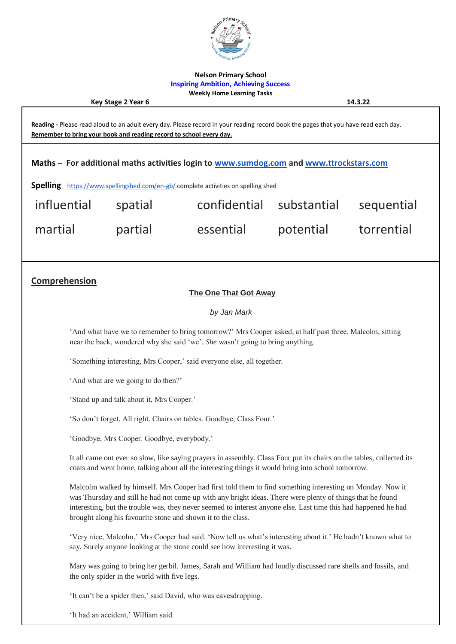

### **Nelson Primary School Inspiring Ambition, Achieving Success Weekly Home Learning Tasks**

**Key Stage 2 Year 6 14.3.22 Reading -** Please read aloud to an adult every day. Please record in your reading record book the pages that you have read each day. **Remember to bring your book and reading record to school every day. Maths – For additional maths activities login to [www.sumdog.com](http://www.sumdog.com/) and [www.ttrockstars.com](http://www.ttrockstars.com/) Spelling** <https://www.spellingshed.com/en-gb/> complete activities on spelling shed influential spatial confidential substantial sequential martial partial essential potential torrential **Comprehension The One That Got Away** *by Jan Mark* 'And what have we to remember to bring tomorrow?' Mrs Cooper asked, at half past three. Malcolm, sitting near the back, wondered why she said 'we'. *She* wasn't going to bring anything. 'Something interesting, Mrs Cooper,' said everyone else, all together. 'And what are we going to do then?' 'Stand up and talk about it, Mrs Cooper.' 'So don't forget. All right. Chairs on tables. Goodbye, Class Four.'

'Goodbye, Mrs Cooper. Goodbye, everybody.'

It all came out ever so slow, like saying prayers in assembly. Class Four put its chairs on the tables, collected its coats and went home, talking about all the interesting things it would bring into school tomorrow.

Malcolm walked by himself. Mrs Cooper had first told them to find something interesting on Monday. Now it was Thursday and still he had not come up with any bright ideas. There were plenty of things that he found interesting, but the trouble was, they never seemed to interest anyone else. Last time this had happened he had brought along his favourite stone and shown it to the class.

'Very nice, Malcolm,' Mrs Cooper had said. 'Now tell us what's interesting about it.' He hadn't known what to say. Surely anyone looking at the stone could see how interesting it was.

Mary was going to bring her gerbil. James, Sarah and William had loudly discussed rare shells and fossils, and the only spider in the world with five legs.

'It can't be a spider then,' said David, who was eavesdropping.

'It had an accident,' William said.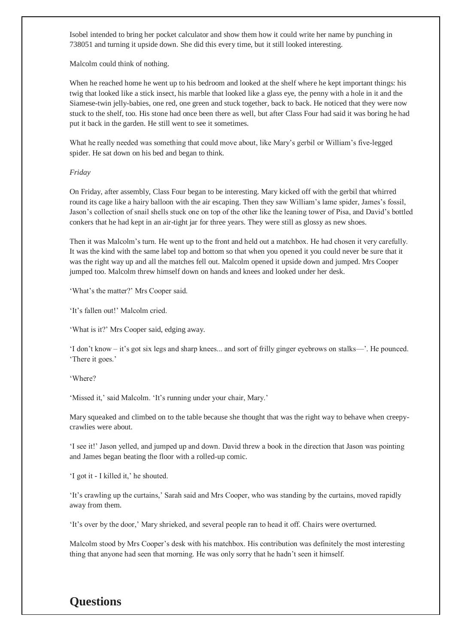Isobel intended to bring her pocket calculator and show them how it could write her name by punching in 738051 and turning it upside down. She did this every time, but it still looked interesting.

Malcolm could think of nothing.

When he reached home he went up to his bedroom and looked at the shelf where he kept important things: his twig that looked like a stick insect, his marble that looked like a glass eye, the penny with a hole in it and the Siamese-twin jelly-babies, one red, one green and stuck together, back to back. He noticed that they were now stuck to the shelf, too. His stone had once been there as well, but after Class Four had said it was boring he had put it back in the garden. He still went to see it sometimes.

What he really needed was something that could move about, like Mary's gerbil or William's five-legged spider. He sat down on his bed and began to think.

### *Friday*

On Friday, after assembly, Class Four began to be interesting. Mary kicked off with the gerbil that whirred round its cage like a hairy balloon with the air escaping. Then they saw William's lame spider, James's fossil, Jason's collection of snail shells stuck one on top of the other like the leaning tower of Pisa, and David's bottled conkers that he had kept in an air-tight jar for three years. They were still as glossy as new shoes.

Then it was Malcolm's turn. He went up to the front and held out a matchbox. He had chosen it very carefully. It was the kind with the same label top and bottom so that when you opened it you could never be sure that it was the right way up and all the matches fell out. Malcolm opened it upside down and jumped. Mrs Cooper jumped too. Malcolm threw himself down on hands and knees and looked under her desk.

'What's the matter?' Mrs Cooper said.

'It's fallen out!' Malcolm cried.

'What is it?' Mrs Cooper said, edging away.

'I don't know – it's got six legs and sharp knees... and sort of frilly ginger eyebrows on stalks—'. He pounced. 'There it goes.'

'Where?

'Missed it,' said Malcolm. 'It's running under your chair, Mary.'

Mary squeaked and climbed on to the table because she thought that was the right way to behave when creepycrawlies were about.

'I see it!' Jason yelled, and jumped up and down. David threw a book in the direction that Jason was pointing and James began beating the floor with a rolled-up comic.

'I got it - I killed it,' he shouted.

'It's crawling up the curtains,' Sarah said and Mrs Cooper, who was standing by the curtains, moved rapidly away from them.

'It's over by the door,' Mary shrieked, and several people ran to head it off. Chairs were overturned.

Malcolm stood by Mrs Cooper's desk with his matchbox. His contribution was definitely the most interesting thing that anyone had seen that morning. He was only sorry that he hadn't seen it himself.

# **Questions**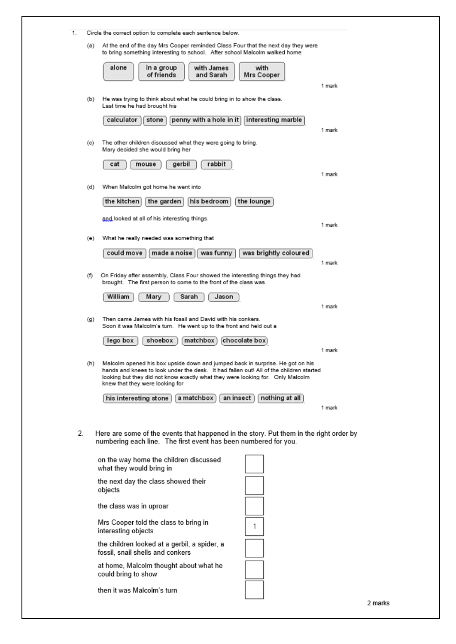| 1.                                                                                                                                                              |                                                                                                                                                                                                                                                                                                     | Circle the correct option to complete each sentence below.                                                                                     |                       |         |  |  |  |  |
|-----------------------------------------------------------------------------------------------------------------------------------------------------------------|-----------------------------------------------------------------------------------------------------------------------------------------------------------------------------------------------------------------------------------------------------------------------------------------------------|------------------------------------------------------------------------------------------------------------------------------------------------|-----------------------|---------|--|--|--|--|
|                                                                                                                                                                 | At the end of the day Mrs Cooper reminded Class Four that the next day they were<br>(a)<br>to bring something interesting to school.   After school Malcolm walked home                                                                                                                             |                                                                                                                                                |                       |         |  |  |  |  |
|                                                                                                                                                                 |                                                                                                                                                                                                                                                                                                     | alone<br>in a group<br>with James<br>of friends<br>and Sarah                                                                                   | with<br>Mrs Cooper    |         |  |  |  |  |
|                                                                                                                                                                 |                                                                                                                                                                                                                                                                                                     |                                                                                                                                                |                       | 1 mark  |  |  |  |  |
|                                                                                                                                                                 | (b)                                                                                                                                                                                                                                                                                                 | He was trying to think about what he could bring in to show the class.<br>Last time he had brought his                                         |                       |         |  |  |  |  |
|                                                                                                                                                                 |                                                                                                                                                                                                                                                                                                     | penny with a hole in it<br>calculator<br>stone                                                                                                 | interesting marble    | 1 mark  |  |  |  |  |
|                                                                                                                                                                 | (c)                                                                                                                                                                                                                                                                                                 | The other children discussed what they were going to bring.<br>Mary decided she would bring her                                                |                       |         |  |  |  |  |
|                                                                                                                                                                 |                                                                                                                                                                                                                                                                                                     | rabbit<br>cat<br>gerbil<br>mouse                                                                                                               |                       | 1 mark  |  |  |  |  |
|                                                                                                                                                                 | (d)                                                                                                                                                                                                                                                                                                 | When Malcolm got home he went into                                                                                                             |                       |         |  |  |  |  |
|                                                                                                                                                                 | the kitchen<br>his bedroom<br>the lounge<br>the garden                                                                                                                                                                                                                                              |                                                                                                                                                |                       |         |  |  |  |  |
|                                                                                                                                                                 |                                                                                                                                                                                                                                                                                                     | and looked at all of his interesting things.                                                                                                   |                       | 1 mark  |  |  |  |  |
|                                                                                                                                                                 | (e)                                                                                                                                                                                                                                                                                                 | What he really needed was something that                                                                                                       |                       |         |  |  |  |  |
|                                                                                                                                                                 |                                                                                                                                                                                                                                                                                                     | could move<br>made a noise<br>was funny                                                                                                        | was brightly coloured | 1 mark  |  |  |  |  |
|                                                                                                                                                                 | (f)                                                                                                                                                                                                                                                                                                 | On Friday after assembly, Class Four showed the interesting things they had<br>brought. The first person to come to the front of the class was |                       |         |  |  |  |  |
|                                                                                                                                                                 |                                                                                                                                                                                                                                                                                                     | William<br>Mary<br>Sarah<br>Jason                                                                                                              |                       | 1 mark  |  |  |  |  |
|                                                                                                                                                                 | (g)                                                                                                                                                                                                                                                                                                 | Then came James with his fossil and David with his conkers.<br>Soon it was Malcolm's turn. He went up to the front and held out a              |                       |         |  |  |  |  |
|                                                                                                                                                                 |                                                                                                                                                                                                                                                                                                     | chocolate box<br>lego box<br>shoebox<br>matchbox                                                                                               |                       | 1 mark  |  |  |  |  |
|                                                                                                                                                                 | Malcolm opened his box upside down and jumped back in surprise. He got on his<br>(h)<br>hands and knees to look under the desk. It had fallen out! All of the children started<br>looking but they did not know exactly what they were looking for. Only Malcolm<br>knew that they were looking for |                                                                                                                                                |                       |         |  |  |  |  |
|                                                                                                                                                                 |                                                                                                                                                                                                                                                                                                     | a matchbox<br>an insect<br>his interesting stone                                                                                               | nothing at all        | 1 mark  |  |  |  |  |
|                                                                                                                                                                 |                                                                                                                                                                                                                                                                                                     |                                                                                                                                                |                       |         |  |  |  |  |
| 2.<br>Here are some of the events that happened in the story. Put them in the right order by<br>numbering each line. The first event has been numbered for you. |                                                                                                                                                                                                                                                                                                     |                                                                                                                                                |                       |         |  |  |  |  |
|                                                                                                                                                                 |                                                                                                                                                                                                                                                                                                     | on the way home the children discussed<br>what they would bring in                                                                             |                       |         |  |  |  |  |
|                                                                                                                                                                 |                                                                                                                                                                                                                                                                                                     | the next day the class showed their<br>objects                                                                                                 |                       |         |  |  |  |  |
|                                                                                                                                                                 |                                                                                                                                                                                                                                                                                                     | the class was in uproar                                                                                                                        |                       |         |  |  |  |  |
|                                                                                                                                                                 |                                                                                                                                                                                                                                                                                                     | Mrs Cooper told the class to bring in<br>interesting objects                                                                                   | 1                     |         |  |  |  |  |
|                                                                                                                                                                 |                                                                                                                                                                                                                                                                                                     | the children looked at a gerbil, a spider, a<br>fossil, snail shells and conkers                                                               |                       |         |  |  |  |  |
|                                                                                                                                                                 |                                                                                                                                                                                                                                                                                                     | at home, Malcolm thought about what he<br>could bring to show                                                                                  |                       |         |  |  |  |  |
|                                                                                                                                                                 |                                                                                                                                                                                                                                                                                                     | then it was Malcolm's turn                                                                                                                     |                       |         |  |  |  |  |
|                                                                                                                                                                 |                                                                                                                                                                                                                                                                                                     |                                                                                                                                                |                       | 2 marks |  |  |  |  |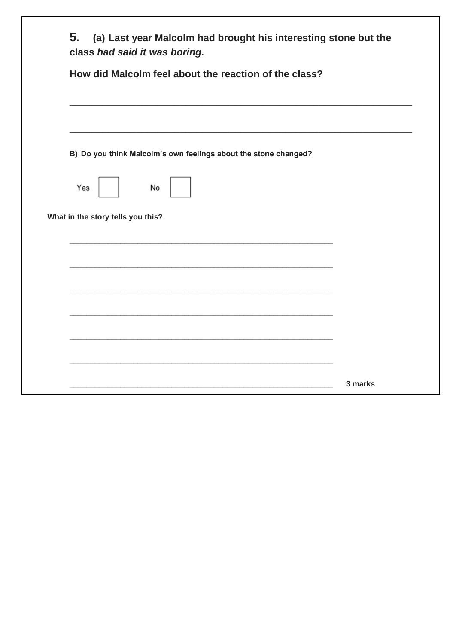|                                   | B) Do you think Malcolm's own feelings about the stone changed? |  |  |
|-----------------------------------|-----------------------------------------------------------------|--|--|
| Yes                               | No                                                              |  |  |
| What in the story tells you this? |                                                                 |  |  |
|                                   |                                                                 |  |  |
|                                   |                                                                 |  |  |
|                                   |                                                                 |  |  |
|                                   |                                                                 |  |  |